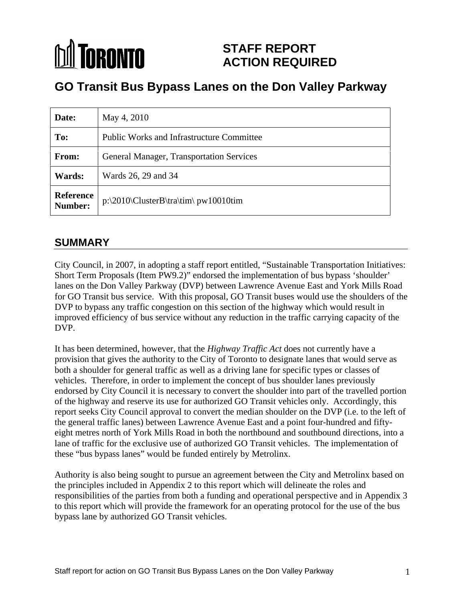### **M** TORONTO **STAFF REPORT ACTION REQUIRED**

# **GO Transit Bus Bypass Lanes on the Don Valley Parkway**

| Date: | May 4, 2010                                       |
|-------|---------------------------------------------------|
| To:   | <b>Public Works and Infrastructure Committee</b>  |
| From: | General Manager, Transportation Services          |
|       | <b>Wards:</b> Wards 26, 29 and 34                 |
|       | Reference<br>P:\2010\ClusterB\tra\tim\ pw10010tim |

### **SUMMARY**

City Council, in 2007, in adopting a staff report entitled, "Sustainable Transportation Initiatives: Short Term Proposals (Item PW9.2)" endorsed the implementation of bus bypass 'shoulder' lanes on the Don Valley Parkway (DVP) between Lawrence Avenue East and York Mills Road for GO Transit bus service. With this proposal, GO Transit buses would use the shoulders of the DVP to bypass any traffic congestion on this section of the highway which would result in improved efficiency of bus service without any reduction in the traffic carrying capacity of the DVP.

It has been determined, however, that the *Highway Traffic Act* does not currently have a provision that gives the authority to the City of Toronto to designate lanes that would serve as both a shoulder for general traffic as well as a driving lane for specific types or classes of vehicles. Therefore, in order to implement the concept of bus shoulder lanes previously endorsed by City Council it is necessary to convert the shoulder into part of the travelled portion of the highway and reserve its use for authorized GO Transit vehicles only. Accordingly, this report seeks City Council approval to convert the median shoulder on the DVP (i.e. to the left of the general traffic lanes) between Lawrence Avenue East and a point four-hundred and fifty eight metres north of York Mills Road in both the northbound and southbound directions, into a lane of traffic for the exclusive use of authorized GO Transit vehicles. The implementation of these "bus bypass lanes" would be funded entirely by Metrolinx.

Authority is also being sought to pursue an agreement between the City and Metrolinx based on the principles included in Appendix 2 to this report which will delineate the roles and responsibilities of the parties from both a funding and operational perspective and in Appendix 3 to this report which will provide the framework for an operating protocol for the use of the bus bypass lane by authorized GO Transit vehicles.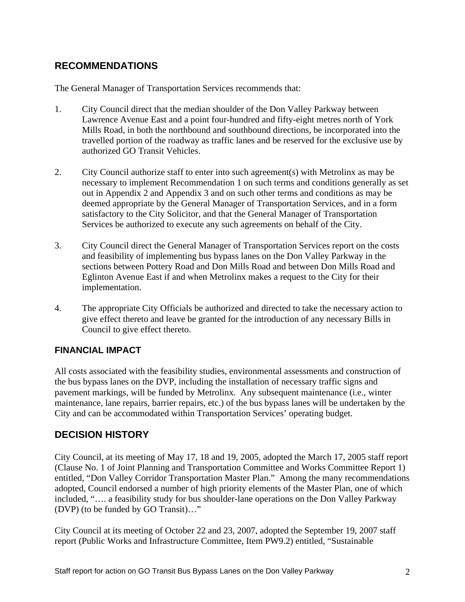### **RECOMMENDATIONS**

The General Manager of Transportation Services recommends that:

- 1. City Council direct that the median shoulder of the Don Valley Parkway between Lawrence Avenue East and a point four-hundred and fifty-eight metres north of York Mills Road, in both the northbound and southbound directions, be incorporated into the travelled portion of the roadway as traffic lanes and be reserved for the exclusive use by authorized GO Transit Vehicles.
- 2. City Council authorize staff to enter into such agreement(s) with Metrolinx as may be necessary to implement Recommendation 1 on such terms and conditions generally as set out in Appendix 2 and Appendix 3 and on such other terms and conditions as may be deemed appropriate by the General Manager of Transportation Services, and in a form satisfactory to the City Solicitor, and that the General Manager of Transportation Services be authorized to execute any such agreements on behalf of the City.
- 3. City Council direct the General Manager of Transportation Services report on the costs and feasibility of implementing bus bypass lanes on the Don Valley Parkway in the sections between Pottery Road and Don Mills Road and between Don Mills Road and Eglinton Avenue East if and when Metrolinx makes a request to the City for their implementation.
- 4. The appropriate City Officials be authorized and directed to take the necessary action to give effect thereto and leave be granted for the introduction of any necessary Bills in Council to give effect thereto.

### **FINANCIAL IMPACT**

All costs associated with the feasibility studies, environmental assessments and construction of the bus bypass lanes on the DVP, including the installation of necessary traffic signs and pavement markings, will be funded by Metrolinx. Any subsequent maintenance (i.e., winter maintenance, lane repairs, barrier repairs, etc.) of the bus bypass lanes will be undertaken by the City and can be accommodated within Transportation Services' operating budget.

### **DECISION HISTORY**

City Council, at its meeting of May 17, 18 and 19, 2005, adopted the March 17, 2005 staff report (Clause No. 1 of Joint Planning and Transportation Committee and Works Committee Report 1) entitled, "Don Valley Corridor Transportation Master Plan." Among the many recommendations adopted, Council endorsed a number of high priority elements of the Master Plan, one of which included, "…. a feasibility study for bus shoulder-lane operations on the Don Valley Parkway (DVP) (to be funded by GO Transit)…"

City Council at its meeting of October 22 and 23, 2007, adopted the September 19, 2007 staff report (Public Works and Infrastructure Committee, Item PW9.2) entitled, "Sustainable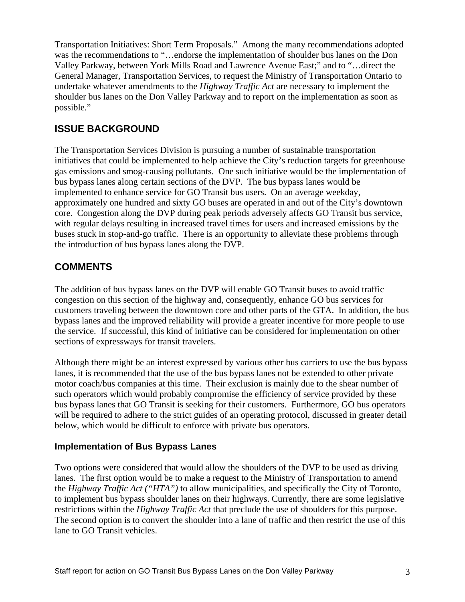Transportation Initiatives: Short Term Proposals." Among the many recommendations adopted was the recommendations to "…endorse the implementation of shoulder bus lanes on the Don Valley Parkway, between York Mills Road and Lawrence Avenue East;" and to "…direct the General Manager, Transportation Services, to request the Ministry of Transportation Ontario to undertake whatever amendments to the *Highway Traffic Act* are necessary to implement the shoulder bus lanes on the Don Valley Parkway and to report on the implementation as soon as possible."

### **ISSUE BACKGROUND**

The Transportation Services Division is pursuing a number of sustainable transportation initiatives that could be implemented to help achieve the City's reduction targets for greenhouse gas emissions and smog-causing pollutants. One such initiative would be the implementation of bus bypass lanes along certain sections of the DVP. The bus bypass lanes would be implemented to enhance service for GO Transit bus users. On an average weekday, approximately one hundred and sixty GO buses are operated in and out of the City's downtown core. Congestion along the DVP during peak periods adversely affects GO Transit bus service, with regular delays resulting in increased travel times for users and increased emissions by the buses stuck in stop-and-go traffic. There is an opportunity to alleviate these problems through the introduction of bus bypass lanes along the DVP.

### **COMMENTS**

The addition of bus bypass lanes on the DVP will enable GO Transit buses to avoid traffic congestion on this section of the highway and, consequently, enhance GO bus services for customers traveling between the downtown core and other parts of the GTA. In addition, the bus bypass lanes and the improved reliability will provide a greater incentive for more people to use the service. If successful, this kind of initiative can be considered for implementation on other sections of expressways for transit travelers.

Although there might be an interest expressed by various other bus carriers to use the bus bypass lanes, it is recommended that the use of the bus bypass lanes not be extended to other private motor coach/bus companies at this time. Their exclusion is mainly due to the shear number of such operators which would probably compromise the efficiency of service provided by these bus bypass lanes that GO Transit is seeking for their customers. Furthermore, GO bus operators will be required to adhere to the strict guides of an operating protocol, discussed in greater detail below, which would be difficult to enforce with private bus operators.

### **Implementation of Bus Bypass Lanes**

Two options were considered that would allow the shoulders of the DVP to be used as driving lanes. The first option would be to make a request to the Ministry of Transportation to amend the *Highway Traffic Act ("HTA")* to allow municipalities, and specifically the City of Toronto, to implement bus bypass shoulder lanes on their highways. Currently, there are some legislative restrictions within the *Highway Traffic Act* that preclude the use of shoulders for this purpose. The second option is to convert the shoulder into a lane of traffic and then restrict the use of this lane to GO Transit vehicles.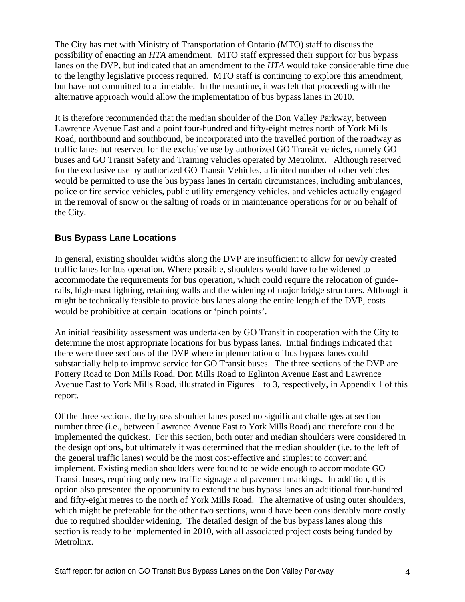The City has met with Ministry of Transportation of Ontario (MTO) staff to discuss the possibility of enacting an *HTA* amendment. MTO staff expressed their support for bus bypass lanes on the DVP, but indicated that an amendment to the *HTA* would take considerable time due to the lengthy legislative process required. MTO staff is continuing to explore this amendment, but have not committed to a timetable. In the meantime, it was felt that proceeding with the alternative approach would allow the implementation of bus bypass lanes in 2010.

It is therefore recommended that the median shoulder of the Don Valley Parkway, between Lawrence Avenue East and a point four-hundred and fifty-eight metres north of York Mills Road, northbound and southbound, be incorporated into the travelled portion of the roadway as traffic lanes but reserved for the exclusive use by authorized GO Transit vehicles, namely GO buses and GO Transit Safety and Training vehicles operated by Metrolinx. Although reserved for the exclusive use by authorized GO Transit Vehicles, a limited number of other vehicles would be permitted to use the bus bypass lanes in certain circumstances, including ambulances, police or fire service vehicles, public utility emergency vehicles, and vehicles actually engaged in the removal of snow or the salting of roads or in maintenance operations for or on behalf of the City.

### **Bus Bypass Lane Locations**

In general, existing shoulder widths along the DVP are insufficient to allow for newly created traffic lanes for bus operation. Where possible, shoulders would have to be widened to accommodate the requirements for bus operation, which could require the relocation of guiderails, high-mast lighting, retaining walls and the widening of major bridge structures. Although it might be technically feasible to provide bus lanes along the entire length of the DVP, costs would be prohibitive at certain locations or 'pinch points'.

An initial feasibility assessment was undertaken by GO Transit in cooperation with the City to determine the most appropriate locations for bus bypass lanes. Initial findings indicated that there were three sections of the DVP where implementation of bus bypass lanes could substantially help to improve service for GO Transit buses. The three sections of the DVP are Pottery Road to Don Mills Road, Don Mills Road to Eglinton Avenue East and Lawrence Avenue East to York Mills Road, illustrated in Figures 1 to 3, respectively, in Appendix 1 of this report.

Of the three sections, the bypass shoulder lanes posed no significant challenges at section number three (i.e., between Lawrence Avenue East to York Mills Road) and therefore could be implemented the quickest. For this section, both outer and median shoulders were considered in the design options, but ultimately it was determined that the median shoulder (i.e. to the left of the general traffic lanes) would be the most cost-effective and simplest to convert and implement. Existing median shoulders were found to be wide enough to accommodate GO Transit buses, requiring only new traffic signage and pavement markings. In addition, this option also presented the opportunity to extend the bus bypass lanes an additional four-hundred and fifty-eight metres to the north of York Mills Road. The alternative of using outer shoulders, which might be preferable for the other two sections, would have been considerably more costly due to required shoulder widening. The detailed design of the bus bypass lanes along this section is ready to be implemented in 2010, with all associated project costs being funded by Metrolinx.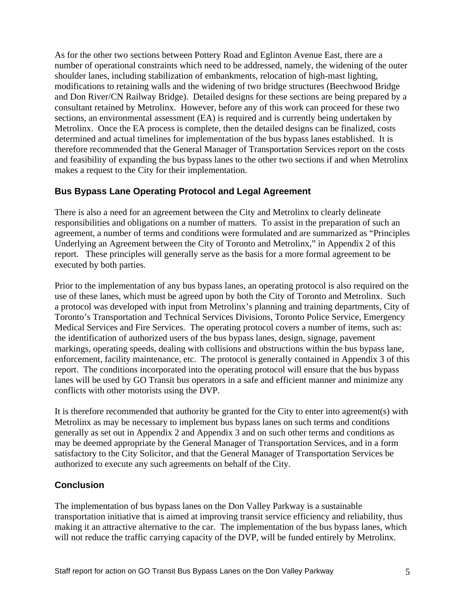As for the other two sections between Pottery Road and Eglinton Avenue East, there are a number of operational constraints which need to be addressed, namely, the widening of the outer shoulder lanes, including stabilization of embankments, relocation of high-mast lighting, modifications to retaining walls and the widening of two bridge structures (Beechwood Bridge and Don River/CN Railway Bridge). Detailed designs for these sections are being prepared by a consultant retained by Metrolinx. However, before any of this work can proceed for these two sections, an environmental assessment (EA) is required and is currently being undertaken by Metrolinx. Once the EA process is complete, then the detailed designs can be finalized, costs determined and actual timelines for implementation of the bus bypass lanes established. It is therefore recommended that the General Manager of Transportation Services report on the costs and feasibility of expanding the bus bypass lanes to the other two sections if and when Metrolinx makes a request to the City for their implementation.

### **Bus Bypass Lane Operating Protocol and Legal Agreement**

There is also a need for an agreement between the City and Metrolinx to clearly delineate responsibilities and obligations on a number of matters. To assist in the preparation of such an agreement, a number of terms and conditions were formulated and are summarized as "Principles Underlying an Agreement between the City of Toronto and Metrolinx," in Appendix 2 of this report. These principles will generally serve as the basis for a more formal agreement to be executed by both parties.

Prior to the implementation of any bus bypass lanes, an operating protocol is also required on the use of these lanes, which must be agreed upon by both the City of Toronto and Metrolinx. Such a protocol was developed with input from Metrolinx's planning and training departments, City of Toronto's Transportation and Technical Services Divisions, Toronto Police Service, Emergency Medical Services and Fire Services. The operating protocol covers a number of items, such as: the identification of authorized users of the bus bypass lanes, design, signage, pavement markings, operating speeds, dealing with collisions and obstructions within the bus bypass lane, enforcement, facility maintenance, etc. The protocol is generally contained in Appendix 3 of this report. The conditions incorporated into the operating protocol will ensure that the bus bypass lanes will be used by GO Transit bus operators in a safe and efficient manner and minimize any conflicts with other motorists using the DVP.

It is therefore recommended that authority be granted for the City to enter into agreement(s) with Metrolinx as may be necessary to implement bus bypass lanes on such terms and conditions generally as set out in Appendix 2 and Appendix 3 and on such other terms and conditions as may be deemed appropriate by the General Manager of Transportation Services, and in a form satisfactory to the City Solicitor, and that the General Manager of Transportation Services be authorized to execute any such agreements on behalf of the City.

### **Conclusion**

The implementation of bus bypass lanes on the Don Valley Parkway is a sustainable transportation initiative that is aimed at improving transit service efficiency and reliability, thus making it an attractive alternative to the car. The implementation of the bus bypass lanes, which will not reduce the traffic carrying capacity of the DVP, will be funded entirely by Metrolinx.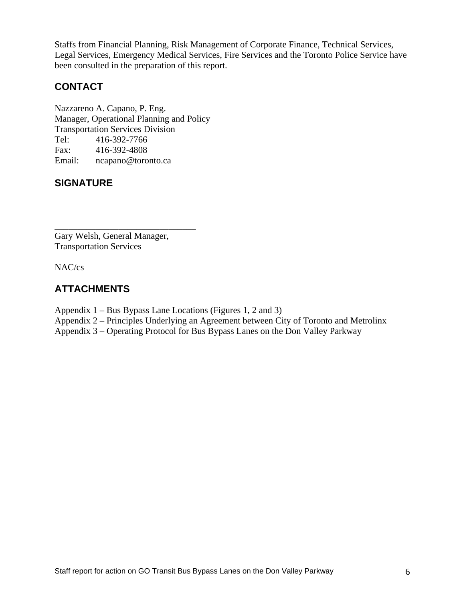Staffs from Financial Planning, Risk Management of Corporate Finance, Technical Services, Legal Services, Emergency Medical Services, Fire Services and the Toronto Police Service have been consulted in the preparation of this report.

### **CONTACT**

Nazzareno A. Capano, P. Eng. Manager, Operational Planning and Policy Transportation Services Division Tel: 416-392-7766 Fax: 416-392-4808 Email: ncapano@toronto.ca

### **SIGNATURE**

Gary Welsh, General Manager, Transportation Services

NAC/cs

### **ATTACHMENTS**

Appendix 1 – Bus Bypass Lane Locations (Figures 1, 2 and 3)

Appendix 2 – Principles Underlying an Agreement between City of Toronto and Metrolinx

Appendix 3 – Operating Protocol for Bus Bypass Lanes on the Don Valley Parkway

 $\overline{\phantom{a}}$  , we can assume that the contract of the contract of the contract of the contract of the contract of the contract of the contract of the contract of the contract of the contract of the contract of the contract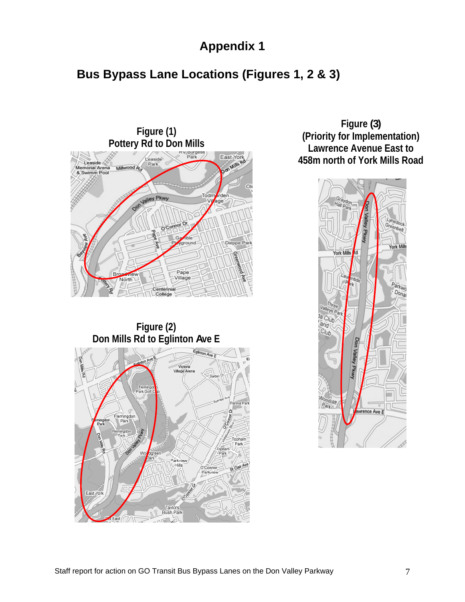# **Appendix 1**

# **Bus Bypass Lane Locations (Figures 1, 2 & 3)**



**Don Mills Rd to Eglinton Ave E** 



**Reserved And Road East York A Little State And A Little State A Little State A Little State A Little State A Little State A Little State A Little State A Little State A Little State A Little State A Little State A Little Figure (3) (Priority for Implementation)**

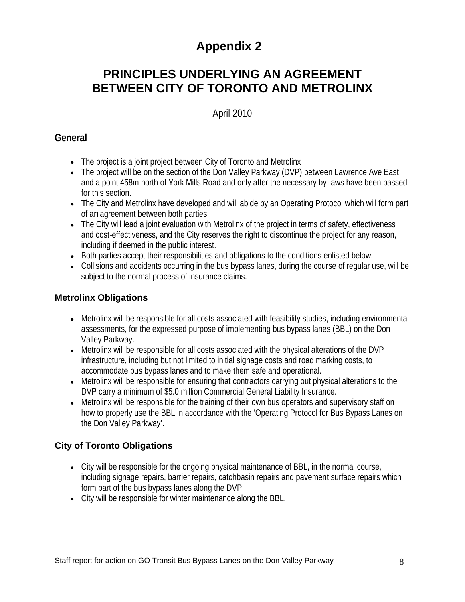# **Appendix 2**

# **PRINCIPLES UNDERLYING AN AGREEMENT BETWEEN CITY OF TORONTO AND METROLINX**

### April 2010

### **General**

- The project is a joint project between City of Toronto and Metrolinx
- The project will be on the section of the Don Valley Parkway (DVP) between Lawrence Ave East and a point 458m north of York Mills Road and only after the necessary by-laws have been passed for this section.
- The City and Metrolinx have developed and will abide by an Operating Protocol which will form part of anagreement between both parties.
- The City will lead a joint evaluation with Metrolinx of the project in terms of safety, effectiveness and cost-effectiveness, and the City reserves the right to discontinue the project for any reason, including if deemed in the public interest.
- Both parties accept their responsibilities and obligations to the conditions enlisted below.
- Collisions and accidents occurring in the bus bypass lanes, during the course of regular use, will be subject to the normal process of insurance claims.

### **Metrolinx Obligations**

- Metrolinx will be responsible for all costs associated with feasibility studies, including environmental assessments, for the expressed purpose of implementing bus bypass lanes (BBL) on the Don Valley Parkway.
- Metrolinx will be responsible for all costs associated with the physical alterations of the DVP infrastructure, including but not limited to initial signage costs and road marking costs, to accommodate bus bypass lanes and to make them safe and operational.
- Metrolinx will be responsible for ensuring that contractors carrying out physical alterations to the DVP carry a minimum of \$5.0 million Commercial General Liability Insurance.
- Metrolinx will be responsible for the training of their own bus operators and supervisory staff on how to properly use the BBL in accordance with the 'Operating Protocol for Bus Bypass Lanes on the Don Valley Parkway'.

### **City of Toronto Obligations**

- City will be responsible for the ongoing physical maintenance of BBL, in the normal course, including signage repairs, barrier repairs, catchbasin repairs and pavement surface repairs which form part of the bus bypass lanes along the DVP.
- City will be responsible for winter maintenance along the BBL.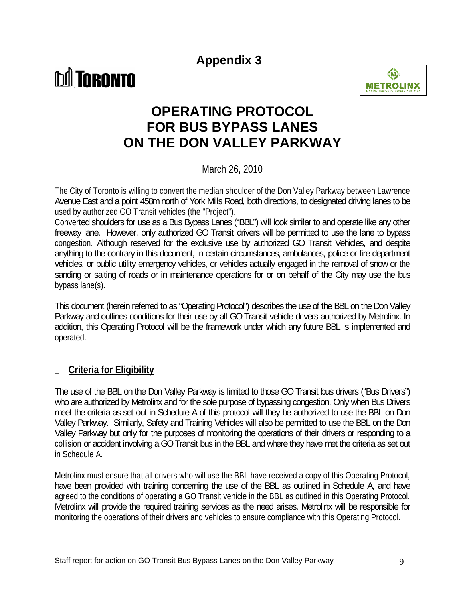**Appendix 3**





# **OPERATING PROTOCOL FOR BUS BYPASS LANES ON THE DON VALLEY PARKWAY**

March 26, 2010

The City of Toronto is willing to convert the median shoulder of the Don Valley Parkway between Lawrence Avenue East and a point 458mnorth of York Mills Road, both directions, to designated driving lanes to be used by authorized GO Transit vehicles (the "Project").

Converted shoulders for use as a Bus Bypass Lanes ("BBL") will look similar to and operate like any other freeway lane. However, only authorized GO Transit drivers will be permitted to use the lane to bypass congestion. Although reserved for the exclusive use by authorized GO Transit Vehicles, and despite anything to the contrary in this document, in certain circumstances, ambulances, police or fire department vehicles, or public utility emergency vehicles, or vehicles actually engaged in the removal of snow or the sanding or salting of roads or in maintenance operations for or on behalf of the City may use the bus bypass lane(s).

This document (herein referred to as "Operating Protocol") describes the use of the BBL on the Don Valley Parkway and outlines conditions for their use by all GO Transit vehicle drivers authorized by Metrolinx. In addition, this Operating Protocol will be the framework under which any future BBL is implemented and operated.

### **Criteria for Eligibility**   $\Box$

The use of the BBL on the Don Valley Parkway is limited to those GO Transit bus drivers ("Bus Drivers") who are authorized by Metrolinx and for the sole purpose of bypassing congestion. Only when Bus Drivers meet the criteria as set out in Schedule A of this protocol will they be authorized to use the BBL on Don Valley Parkway. Similarly, Safety and Training Vehicles will also be permitted to use the BBL on the Don Valley Parkway but only for the purposes of monitoring the operations of their drivers or responding to a collision or accident involving a GO Transit bus in the BBL and where they have met the criteria as set out in Schedule A.

Metrolinx must ensure that all drivers who will use the BBL have received a copy of this Operating Protocol, have been provided with training concerning the use of the BBL as outlined in Schedule A, and have agreed to the conditions of operating a GO Transit vehicle in the BBL as outlined in this Operating Protocol. Metrolinx will provide the required training services as the need arises. Metrolinx will be responsible for monitoring the operations of their drivers and vehicles to ensure compliance with this Operating Protocol.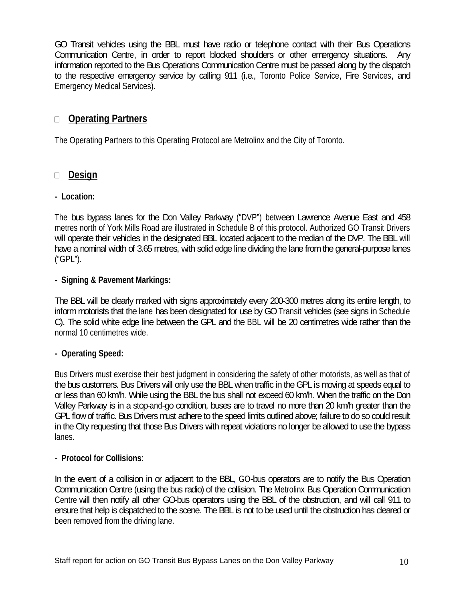GO Transit vehicles using the BBL must have radio or telephone contact with their Bus Operations Communication Centre, in order to report blocked shoulders or other emergency situations. Any information reported to the Bus Operations Communication Centre must be passed along by the dispatch to the respective emergency service by calling 911 (i.e., Toronto Police Service, Fire Services, and Emergency Medical Services).

### $\Box$ **Operating Partners**

The Operating Partners to this Operating Protocol are Metrolinx and the City of Toronto.

# □ <u>Design</u><br>- Location:

The bus bypass lanes for the Don Valley Parkway ("DVP") between Lawrence Avenue East and 458 metres north of York Mills Road are illustrated in Schedule B of this protocol. Authorized GO Transit Drivers will operate their vehicles in the designated BBL located adjacent to the median of the DVP. The BBL will have a nominal width of 3.65 metres, with solid edge line dividing the lane fromthe general-purpose lanes ("GPL").

# **- Signing & Pavement Markings:**

The BBL will be clearly marked with signs approximately every 200-300 metres along its entire length, to informmotorists that the lane has been designated for use by GOTransit vehicles (see signs in Schedule C). The solid white edge line between the GPL and the BBL will be 20 centimetres wide rather than the normal 10 centimetres wide.

### **- Operating Speed:**

Bus Drivers must exercise their best judgment in considering the safety of other motorists, as well as that of the bus customers. Bus Drivers will only use the BBL when traffic in the GPL is moving at speeds equal to or less than 60 km/h. While using the BBL the bus shall not exceed 60 km/h. When the traffic on the Don Valley Parkway is in a stop-and-go condition, buses are to travel no more than 20 km/h greater than the GPL flow of traffic. Bus Drivers must adhere to the speed limits outlined above; failure to do so could result in the City requesting that those Bus Drivers with repeat violations no longer be allowed to use the bypass lanes. In the case of the case of the case of the case of the case of the case of the case of the case of the c

# - **Protocol for Collisions**:

In the event of a collision in or adjacent to the BBL, GO-bus operators are to notify the Bus Operation Communication Centre (using the bus radio) of the collision. The Metrolinx Bus Operation Communication Centre will then notify all other GO-bus operators using the BBL of the obstruction, and will call 911 to ensure that help is dispatched to the scene. The BBL is not to be used until the obstruction has deared or been removed from the driving lane.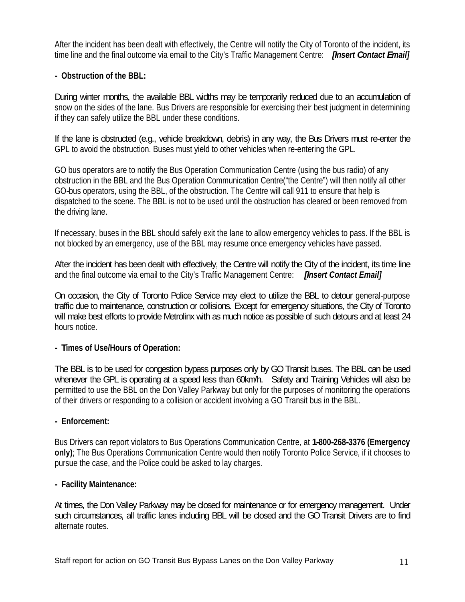After the incident has been dealt with effectively, the Centre will notify the City of Toronto of the incident, its time line and the final outcome via email to the City's Traffic Management Centre: **[Insert Contact Email]** 

### **- Obstruction of the BBL:**

During winter months, the available BBL widths may be temporarily reduced due to an accumulation of snow on the sides of the lane. Bus Drivers are responsible for exercising their best judgment in determining if they can safely utilize the BBL under these conditions.

If the lane is obstructed (e.g., vehicle breakdown, debris) in any way, the Bus Drivers must re-enter the GPL to avoid the obstruction. Buses must yield to other vehicles when re-entering the GPL.

GO bus operators are to notify the Bus Operation Communication Centre (using the bus radio) of any obstruction in the BBL and the Bus Operation Communication Centre("the Centre") will then notify all other GO-bus operators, using the BBL, of the obstruction. The Centre will call 911 to ensure that help is dispatched to the scene. The BBL is not to be used until the obstruction has cleared or been removed from the driving lane.

If necessary, buses in the BBL should safely exit the lane to allow emergency vehicles to pass. If the BBL is not blocked by an emergency, use of the BBL may resume once emergency vehicles have passed.

After the incident has been dealt with effectively, the Centre will notify the Cityof the incident, its time line and the final outcome via email to the City's Traffic Management Centre: **[Insert Contact Email]**

On occasion, the City of Toronto Police Service may elect to utilize the BBL to detour general-purpose traffic due to maintenance, construction or collisions. Except for emergency situations, the City of Toronto will make best efforts to provide Metrolinx with as much notice as possible of such detours and at least 24 hours notice.

### **- Times of Use/Hours of Operation:**

The BBL is to be used for congestion bypass purposes only byGO Transit buses. The BBL can be used whenever the GPL is operating at a speed less than 60km/h. Safety and Training Vehicles will also be permitted to use the BBL on the Don Valley Parkway but only for the purposes of monitoring the operations of their drivers or responding to a collision or accident involving a GO Transit bus in the BBL.

### **- Enforcement:**

Bus Drivers can report violators to Bus Operations Communication Centre, at **1-800-268-3376 (Emergency only)**; The Bus Operations Communication Centre would then notify Toronto Police Service, if it chooses to pursue the case, and the Police could be asked to lay charges.

### **- Facility Maintenance:**

At times, the Don Valley Parkway may be closed for maintenance or for emergency management. Under such circumstances, all traffic lanes including BBL will be closed and the GO Transit Drivers are to find alternate routes.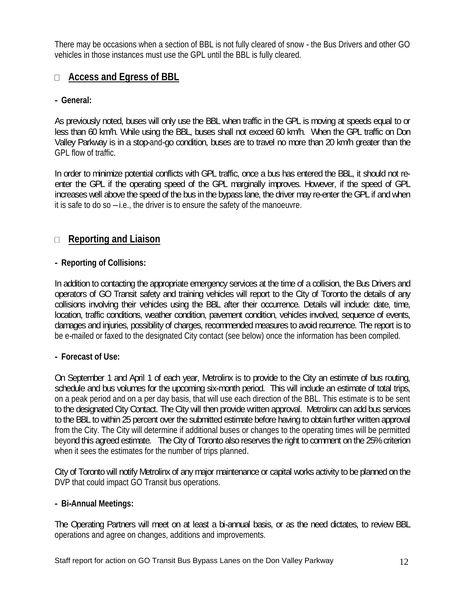There may be occasions when a section of BBL is not fully cleared of snow - the Bus Drivers and other GO vehicles in those instances must use the GPL until the BBL is fully cleared.

### **Access and Egress of BBL**

### **- General:**

As previously noted, buses will only use the BBL when traffic in the GPL is moving at speeds equal to or less than 60 km/h. While using the BBL, buses shall not exceed 60 km/h. When the GPL traffic on Don Valley Parkway is in a stop-and-go condition, buses are to travel no more than 20 km/h greater than the GPL flow of traffic.

In order to minimize potential conflicts with GPL traffic, once a bus has entered the BBL, it should not reenter the GPL if the operating speed of the GPL marginally improves. However, if the speed of GPL increases well above the speed of the bus in the bypass lane, the driver may re-enter theGPL if and when it is safe to do so  $-i.e.,$  the driver is to ensure the safety of the manoeuvre.

# □ <u>Reporting and Liaison</u><br>- Reporting of Collisions:

In addition to contacting the appropriate emergency services at the time of a collision, the Bus Drivers and operators of GO Transit safety and training vehicles will report to the City of Toronto the details of any collisions involving their vehicles using the BBL after their occurrence. Details will include: date, time, location, traffic conditions, weather condition, pavement condition, vehicles involved, sequence of events, damages and injuries, possibility of charges, recommended measures to avoid recurrence. The report is to be e-mailed or faxed to the designated City contact (see below) once the information has been compiled.

### **- Forecast of Use:**

On September 1 and April 1 of each year, Metrolinx is to provide to the City an estimate of bus routing, schedule and bus volumes for the upcoming six-month period. This will include an estimate of total trips, on a peak period and on a per day basis, that will use each direction of the BBL. This estimate is to be sent to the designated City Contact. The City will then provide written approval. Metrolinx can add bus services to the BBL to within 25 percent over the submitted estimate before having to obtain further written approval from the City. The City will determine if additional buses or changes to the operating times will be permitted beyond this agreed estimate. The City of Toronto also reserves the right to comment on the 25% criterion when it sees the estimates for the number of trips planned.

City of Toronto will notify Metrolinx of any major maintenance or capital works activity to be planned on the DVP that could impact GO Transit bus operations.

### **- Bi-Annual Meetings:**

The Operating Partners will meet on at least a bi-annual basis, or as the need dictates, to review BBL operations and agree on changes, additions and improvements.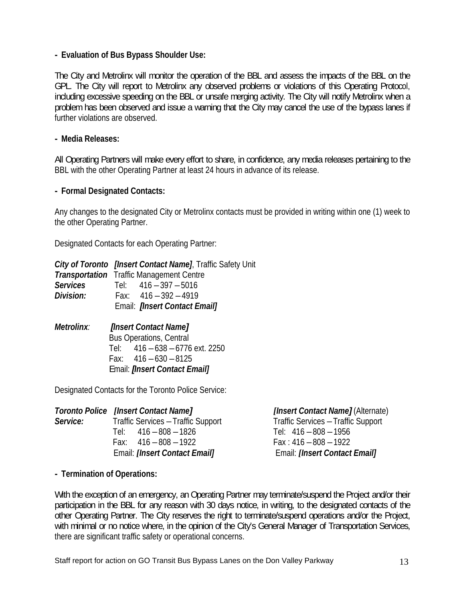### **- Evaluation of Bus Bypass Shoulder Use:**

The City and Metrolinx will monitor the operation of the BBL and assess the impacts of the BBL on the GPL. The City will report to Metrolinx any observed problems or violations of this Operating Protocol, including excessive speeding on the BBL or unsafe merging activity. The City will notify Metrolinx when a problem has been observed and issue a warning that the City may cancel the use of the bypass lanes if further violations are observed.

### **- Media Releases:**

All Operating Partners will make every effort to share, in confidence, anymedia releases pertaining to the BBL with the other Operating Partner at least 24 hours in advance of its release.

### **- Formal Designated Contacts:**

Any changes to the designated City or Metrolinx contacts must be provided in writing within one (1) week to the other Operating Partner.

Designated Contacts for each Operating Partner:

|                   | <b>City of Toronto</b> [Insert Contact Name], Traffic Safety Unit |  |
|-------------------|-------------------------------------------------------------------|--|
|                   | <b>Transportation</b> Traffic Management Centre                   |  |
| <b>Services</b>   | 416-397-5016<br>Tel:                                              |  |
| <b>Division:</b>  | Fax: $416 - 392 - 4919$                                           |  |
|                   | Email: <i>[Insert Contact Email]</i>                              |  |
| <b>Metrolinx:</b> | [Insert Contact Name]                                             |  |
|                   | <b>Bus Operations, Central</b>                                    |  |

Tel: 416 –638 –6776 ext. 2250 Fax:  $416 - 630 - 8125$ Email: **[Insert Contact Email]**

Designated Contacts for the Toronto Police Service:

|          | <b>Toronto Police [Insert Contact Name]</b> | [Insert Contact Name] (Alternate)         |
|----------|---------------------------------------------|-------------------------------------------|
| Service: | <b>Traffic Services - Traffic Support</b>   | <b>Traffic Services - Traffic Support</b> |
|          | Tel: 416 – 808 – 1826                       | $416 - 808 - 1956$                        |
|          | Fax: $416 - 808 - 1922$                     | Fax : 416 — 808 — 1922                    |
|          | Email: [Insert Contact Email]               | Email: [Insert Contact Email]             |
|          |                                             |                                           |

**- Termination of Operations:** 

With the exception of an emergency, an Operating Partner may terminate/suspend the Project and/or their participation in the BBL for any reason with 30 days notice, in writing, to the designated contacts of the other Operating Partner. The City reserves the right to terminate/suspend operations and/or the Project, with minimal or no notice where, in the opinion of the City's General Manager of Transportation Services, there are significant traffic safety or operational concerns.

Staff report for action on GO Transit Bus Bypass Lanes on the Don Valley Parkway 13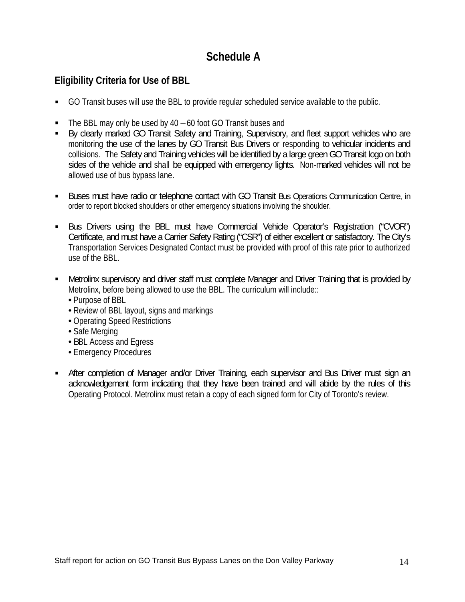## **Schedule A**

### **Eligibility Criteria for Use of BBL**

- GO Transit buses will use the BBL to provide regular scheduled service available to the public.  $\blacksquare$
- $\blacksquare$  The BBL may only be used by 40 60 foot GO Transit buses and
- By clearly marked GO Transit Safety and Training, Supervisory, and fleet support vehicles who are monitoring the use of the lanes by GO Transit Bus Drivers or responding to vehicular incidents and collisions. The Safety and Training vehicles will be identified by a large green GO Transit logo on both sides of the vehicle and shall be equipped with emergency lights. Non-marked vehicles will not be allowed use of bus bypass lane.
- Buses must have radio or telephone contact with GO Transit Bus Operations Communication Centre, in order to report blocked shoulders or other emergency situations involving the shoulder.
- Bus Drivers using the BBL must have Commercial Vehicle Operator's Registration ("CVOR") Certificate, and must have a Carrier Safety Rating ("CSR") of either excellent or satisfactory. The City's Transportation Services Designated Contact must be provided with proof of this rate prior to authorized use of the BBL.
- Metrolinx supervisory and driver staff must complete Manager and Driver Training that is provided by Metrolinx, before being allowed to use the BBL. The curriculum will include::<br>• Purpose of BBL<br>• Review of BBL layout, signs and markings<br>• Operating Speed Restrictions<br>• Safe Merging<br>• BBL Access and Egress<br>• Emergency Pr
	-
	-
	-
	-
	-
	-
- After completion of Manager and/or Driver Training, each supervisor and Bus Driver must sign an acknowledgement form indicating that they have been trained and will abide by the rules of this Operating Protocol. Metrolinx must retain a copy of each signed form for City of Toronto's review.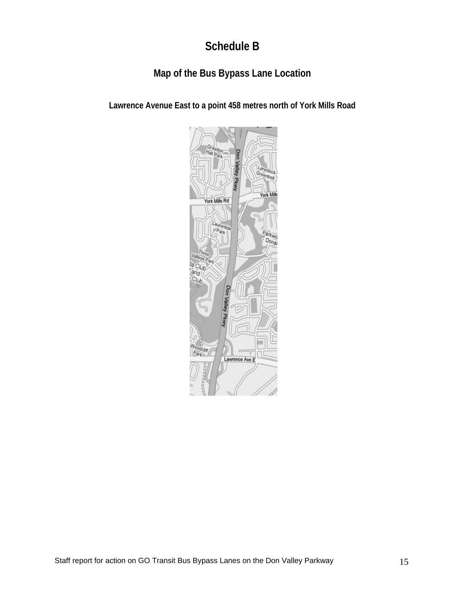# **Schedule B**

## **Map of the Bus Bypass Lane Location**

**Lawrence Avenue East to a point 458 metres north of York Mills Road**

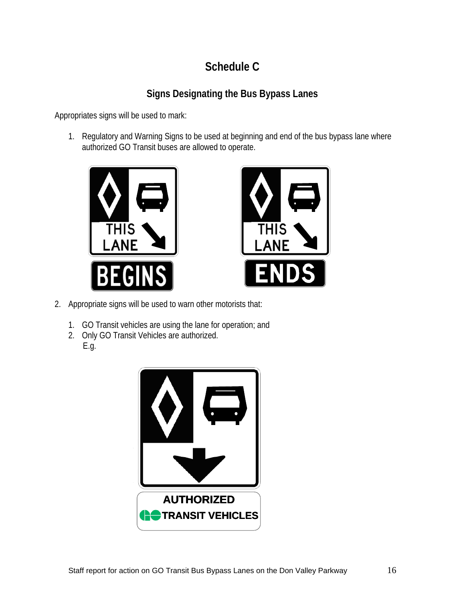# **Schedule C**

## **Signs Designating the Bus Bypass Lanes**

Appropriates signs will be used to mark:

1. Regulatory and Warning Signs to be used at beginning and end of the bus bypass lane where authorized GO Transit buses are allowed to operate.





- 2. Appropriate signs will be used to warn other motorists that:
	- 1. GO Transit vehicles are using the lane for operation; and
	- 2. Only GO Transit Vehicles are authorized. E.g.